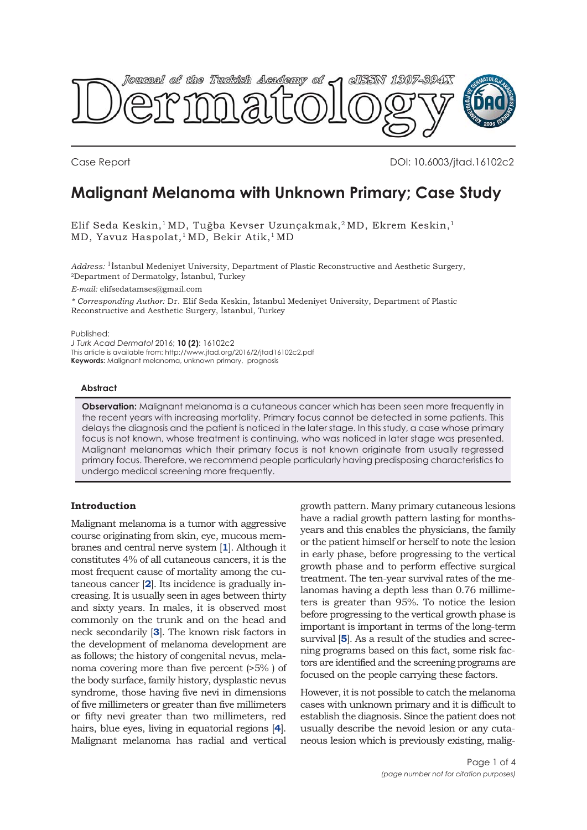

Case Report DOI: 10.6003/jtad.16102c2

# **Malignant Melanoma with Unknown Primary; Case Study**

Elif Seda Keskin,<sup>1</sup> MD, Tuğba Kevser Uzunçakmak,<sup>2</sup> MD, Ekrem Keskin,<sup>1</sup> MD, Yavuz Haspolat,<sup>1</sup>MD, Bekir Atik,<sup>1</sup>MD

*Address:* 1İstanbul Medeniyet University, Department of Plastic Reconstructive and Aesthetic Surgery, 2Department of Dermatolgy, İstanbul, Turkey

*E-mail:* elifsedatamses@gmail.com

*\* Corresponding Author:* Dr. Elif Seda Keskin, İstanbul Medeniyet University, Department of Plastic Reconstructive and Aesthetic Surgery, İstanbul, Turkey

Published:

*J Turk Acad Dermatol* 2016; **10 (2)**: 16102c2 This article is available from: http://www.jtad.org/2016/2/jtad16102c2.pdf **Keywords:** Malignant melanoma, unknown primary, prognosis

### **Abstract**

**Observation:** Malignant melanoma is a cutaneous cancer which has been seen more frequently in the recent years with increasing mortality. Primary focus cannot be detected in some patients. This delays the diagnosis and the patient is noticed in the later stage. In this study, a case whose primary focus is not known, whose treatment is continuing, who was noticed in later stage was presented. Malignant melanomas which their primary focus is not known originate from usually regressed primary focus. Therefore, we recommend people particularly having predisposing characteristics to undergo medical screening more frequently.

## **Introduction**

Malignant melanoma is a tumor with aggressive course originating from skin, eye, mucous membranes and central nerve system [**[1](#page-3-0)**]. Although it constitutes 4% of all cutaneous cancers, it is the most frequent cause of mortality among the cutaneous cancer [**[2](#page-3-0)**]. Its incidence is gradually increasing. It is usually seen in ages between thirty and sixty years. In males, it is observed most commonly on the trunk and on the head and neck secondarily [**[3](#page-3-0)**]. The known risk factors in the development of melanoma development are as follows; the history of congenital nevus, melanoma covering more than five percent (>5% ) of the body surface, family history, dysplastic nevus syndrome, those having five nevi in dimensions of five millimeters or greater than five millimeters or fifty nevi greater than two millimeters, red hairs, blue eyes, living in equatorial regions [**[4](#page-3-0)**]. Malignant melanoma has radial and vertical

growth pattern. Many primary cutaneous lesions have a radial growth pattern lasting for monthsyears and this enables the physicians, the family or the patient himself or herself to note the lesion in early phase, before progressing to the vertical growth phase and to perform effective surgical treatment. The ten-year survival rates of the melanomas having a depth less than 0.76 millimeters is greater than 95%. To notice the lesion before progressing to the vertical growth phase is important is important in terms of the long-term survival [**[5](#page-3-0)**]. As a result of the studies and screening programs based on this fact, some risk factors are identified and the screening programs are focused on the people carrying these factors.

However, it is not possible to catch the melanoma cases with unknown primary and it is difficult to establish the diagnosis. Since the patient does not usually describe the nevoid lesion or any cutaneous lesion which is previously existing, malig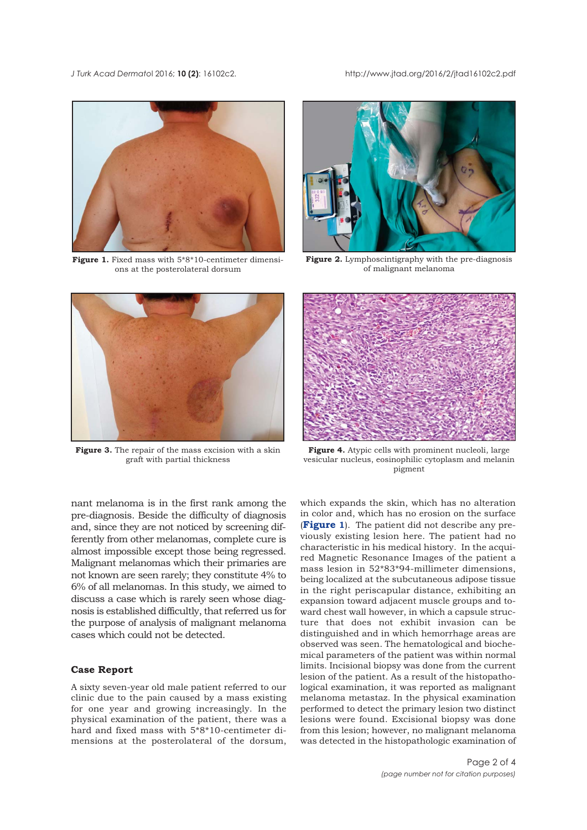<span id="page-1-0"></span>*J Turk Acad Dermato*l 2016; **10 (2)**: 16102c2. http://www.jtad.org/2016/2/jtad16102c2.pdf



**Figure 1.** Fixed mass with  $5*8*10$ -centimeter dimensions at the posterolateral dorsum



**Figure 2.** Lymphoscintigraphy with the pre-diagnosis of malignant melanoma



**Figure 3.** The repair of the mass excision with a skin graft with partial thickness

nant melanoma is in the first rank among the pre-diagnosis. Beside the difficulty of diagnosis and, since they are not noticed by screening differently from other melanomas, complete cure is almost impossible except those being regressed. Malignant melanomas which their primaries are not known are seen rarely; they constitute 4% to 6% of all melanomas. In this study, we aimed to discuss a case which is rarely seen whose diagnosis is established difficultly, that referred us for the purpose of analysis of malignant melanoma cases which could not be detected.

## **Case Report**

A sixty seven-year old male patient referred to our clinic due to the pain caused by a mass existing for one year and growing increasingly. In the physical examination of the patient, there was a hard and fixed mass with 5\*8\*10-centimeter dimensions at the posterolateral of the dorsum,



**Figure 4.** Atypic cells with prominent nucleoli, large vesicular nucleus, eosinophilic cytoplasm and melanin pigment

which expands the skin, which has no alteration in color and, which has no erosion on the surface (**Figure 1**). The patient did not describe any previously existing lesion here. The patient had no characteristic in his medical history. In the acquired Magnetic Resonance Images of the patient a mass lesion in 52\*83\*94-millimeter dimensions, being localized at the subcutaneous adipose tissue in the right periscapular distance, exhibiting an expansion toward adjacent muscle groups and toward chest wall however, in which a capsule structure that does not exhibit invasion can be distinguished and in which hemorrhage areas are observed was seen. The hematological and biochemical parameters of the patient was within normal limits. Incisional biopsy was done from the current lesion of the patient. As a result of the histopathological examination, it was reported as malignant melanoma metastaz. In the physical examination performed to detect the primary lesion two distinct lesions were found. Excisional biopsy was done from this lesion; however, no malignant melanoma was detected in the histopathologic examination of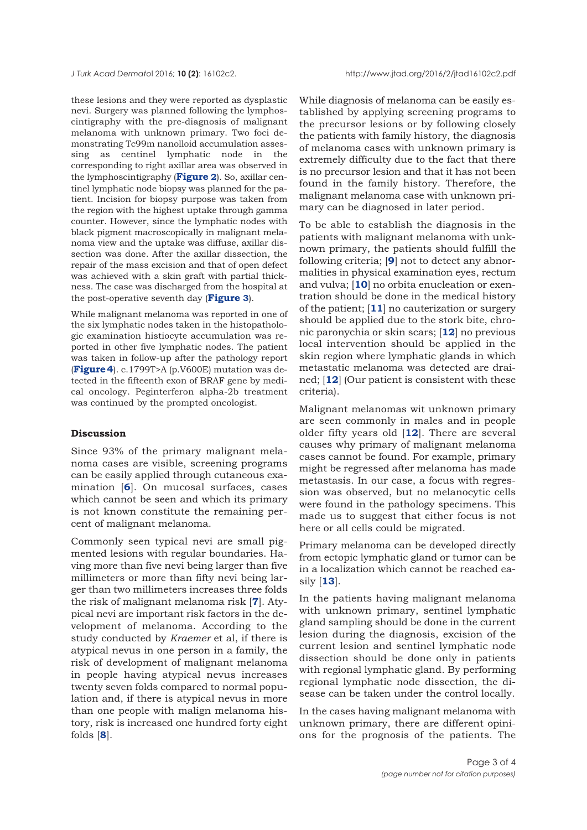these lesions and they were reported as dysplastic nevi. Surgery was planned following the lymphoscintigraphy with the pre-diagnosis of malignant melanoma with unknown primary. Two foci demonstrating Tc99m nanolloid accumulation assessing as centinel lymphatic node in the corresponding to right axillar area was observed in the lymphoscintigraphy (**[Figure](#page-1-0) 2**). So, axillar centinel lymphatic node biopsy was planned for the patient. Incision for biopsy purpose was taken from the region with the highest uptake through gamma counter. However, since the lymphatic nodes with black pigment macroscopically in malignant melanoma view and the uptake was diffuse, axillar dissection was done. After the axillar dissection, the repair of the mass excision and that of open defect was achieved with a skin graft with partial thickness. The case was discharged from the hospital at the post-operative seventh day (**[Figure](#page-1-0) 3**).

While malignant melanoma was reported in one of the six lymphatic nodes taken in the histopathologic examination histiocyte accumulation was reported in other five lymphatic nodes. The patient was taken in follow-up after the pathology report (**[Figure 4](#page-1-0)**). c.1799T>A (p.V600E) mutation was detected in the fifteenth exon of BRAF gene by medical oncology. Peginterferon alpha-2b treatment was continued by the prompted oncologist.

#### **Discussion**

Since 93% of the primary malignant melanoma cases are visible, screening programs can be easily applied through cutaneous examination [**[6](#page-3-0)**]. On mucosal surfaces, cases which cannot be seen and which its primary is not known constitute the remaining percent of malignant melanoma.

Commonly seen typical nevi are small pigmented lesions with regular boundaries. Having more than five nevi being larger than five millimeters or more than fifty nevi being larger than two millimeters increases three folds the risk of malignant melanoma risk [**[7](#page-3-0)**]. Atypical nevi are important risk factors in the development of melanoma. According to the study conducted by *Kraemer* et al, if there is atypical nevus in one person in a family, the risk of development of malignant melanoma in people having atypical nevus increases twenty seven folds compared to normal population and, if there is atypical nevus in more than one people with malign melanoma history, risk is increased one hundred forty eight folds [**[8](#page-3-0)**].

While diagnosis of melanoma can be easily established by applying screening programs to the precursor lesions or by following closely the patients with family history, the diagnosis of melanoma cases with unknown primary is extremely difficulty due to the fact that there is no precursor lesion and that it has not been found in the family history. Therefore, the malignant melanoma case with unknown primary can be diagnosed in later period.

To be able to establish the diagnosis in the patients with malignant melanoma with unknown primary, the patients should fulfill the following criteria; [**[9](#page-3-0)**] not to detect any abnormalities in physical examination eyes, rectum and vulva; [**[10](#page-3-0)**] no orbita enucleation or exentration should be done in the medical history of the patient; [**[11](#page-3-0)**] no cauterization or surgery should be applied due to the stork bite, chronic paronychia or skin scars; [**[12](#page-3-0)**] no previous local intervention should be applied in the skin region where lymphatic glands in which metastatic melanoma was detected are drained; [**[12](#page-3-0)**] (Our patient is consistent with these criteria).

Malignant melanomas wit unknown primary are seen commonly in males and in people older fifty years old [**[12](#page-3-0)**]. There are several causes why primary of malignant melanoma cases cannot be found. For example, primary might be regressed after melanoma has made metastasis. In our case, a focus with regression was observed, but no melanocytic cells were found in the pathology specimens. This made us to suggest that either focus is not here or all cells could be migrated.

Primary melanoma can be developed directly from ectopic lymphatic gland or tumor can be in a localization which cannot be reached easily [**[13](#page-3-0)**].

In the patients having malignant melanoma with unknown primary, sentinel lymphatic gland sampling should be done in the current lesion during the diagnosis, excision of the current lesion and sentinel lymphatic node dissection should be done only in patients with regional lymphatic gland. By performing regional lymphatic node dissection, the disease can be taken under the control locally.

In the cases having malignant melanoma with unknown primary, there are different opinions for the prognosis of the patients. The